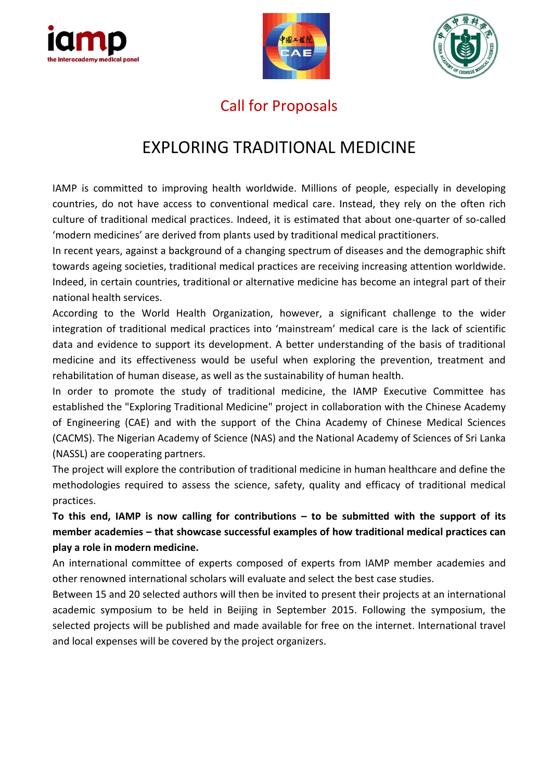





### Call for Proposals

# EXPLORING TRADITIONAL MEDICINE

IAMP is committed to improving health worldwide. Millions of people, especially in developing countries, do not have access to conventional medical care. Instead, they rely on the often rich culture of traditional medical practices. Indeed, it is estimated that about one-quarter of so-called 'modern medicines' are derived from plants used by traditional medical practitioners.

In recent years, against a background of a changing spectrum of diseases and the demographic shift towards ageing societies, traditional medical practices are receiving increasing attention worldwide. Indeed, in certain countries, traditional or alternative medicine has become an integral part of their national health services.

According to the World Health Organization, however, a significant challenge to the wider integration of traditional medical practices into 'mainstream' medical care is the lack of scientific data and evidence to support its development. A better understanding of the basis of traditional medicine and its effectiveness would be useful when exploring the prevention, treatment and rehabilitation of human disease, as well as the sustainability of human health.

In order to promote the study of traditional medicine, the IAMP Executive Committee has established the "Exploring Traditional Medicine" project in collaboration with the Chinese Academy of Engineering (CAE) and with the support of the China Academy of Chinese Medical Sciences (CACMS). The Nigerian Academy of Science (NAS) and the National Academy of Sciences of Sri Lanka (NASSL) are cooperating partners.

The project will explore the contribution of traditional medicine in human healthcare and define the methodologies required to assess the science, safety, quality and efficacy of traditional medical practices.

**To this end, IAMP is now calling for contributions – to be submitted with the support of its member academies – that showcase successful examples of how traditional medical practices can play a role in modern medicine.**

An international committee of experts composed of experts from IAMP member academies and other renowned international scholars will evaluate and select the best case studies.

Between 15 and 20 selected authors will then be invited to present their projects at an international academic symposium to be held in Beijing in September 2015. Following the symposium, the selected projects will be published and made available for free on the internet. International travel and local expenses will be covered by the project organizers.